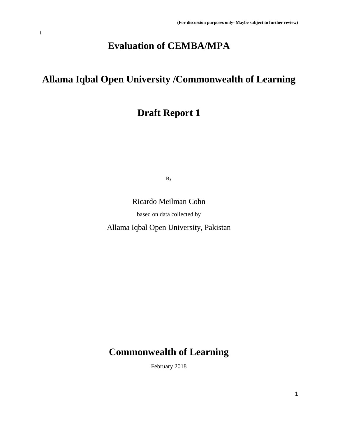# **Evaluation of CEMBA/MPA**

 $\,$  )  $\,$ 

# **Allama Iqbal Open University /Commonwealth of Learning**

# **Draft Report 1**

By

Ricardo Meilman Cohn

based on data collected by

Allama Iqbal Open University, Pakistan

# **Commonwealth of Learning**

February 2018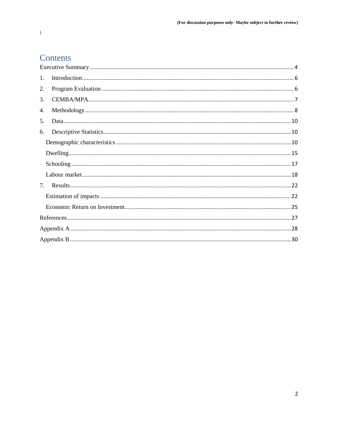## Contents

| 1. |  |
|----|--|
| 2. |  |
| 3. |  |
| 4. |  |
| 5. |  |
| 6. |  |
|    |  |
|    |  |
|    |  |
|    |  |
| 7. |  |
|    |  |
|    |  |
|    |  |
|    |  |
|    |  |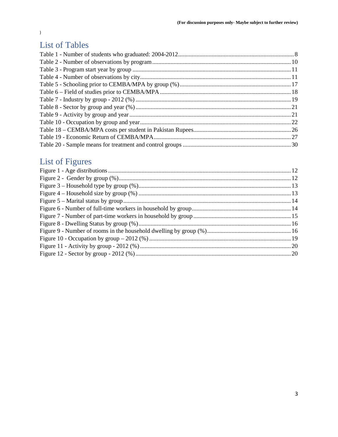## **List of Tables**

# List of Figures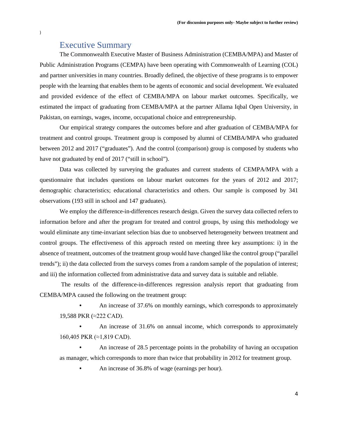## Executive Summary

<span id="page-3-0"></span>The Commonwealth Executive Master of Business Administration (CEMBA/MPA) and Master of Public Administration Programs (CEMPA) have been operating with Commonwealth of Learning (COL) and partner universities in many countries. Broadly defined, the objective of these programs is to empower people with the learning that enables them to be agents of economic and social development. We evaluated and provided evidence of the effect of CEMBA/MPA on labour market outcomes. Specifically, we estimated the impact of graduating from CEMBA/MPA at the partner Allama Iqbal Open University, in Pakistan, on earnings, wages, income, occupational choice and entrepreneurship.

Our empirical strategy compares the outcomes before and after graduation of CEMBA/MPA for treatment and control groups. Treatment group is composed by alumni of CEMBA/MPA who graduated between 2012 and 2017 ("graduates"). And the control (comparison) group is composed by students who have not graduated by end of 2017 ("still in school").

Data was collected by surveying the graduates and current students of CEMPA/MPA with a questionnaire that includes questions on labour market outcomes for the years of 2012 and 2017; demographic characteristics; educational characteristics and others. Our sample is composed by 341 observations (193 still in school and 147 graduates).

We employ the difference-in-differences research design. Given the survey data collected refers to information before and after the program for treated and control groups, by using this methodology we would eliminate any time-invariant selection bias due to unobserved heterogeneity between treatment and control groups. The effectiveness of this approach rested on meeting three key assumptions: i) in the absence of treatment, outcomes of the treatment group would have changed like the control group ("parallel trends"); ii) the data collected from the surveys comes from a random sample of the population of interest; and iii) the information collected from administrative data and survey data is suitable and reliable.

The results of the difference-in-differences regression analysis report that graduating from CEMBA/MPA caused the following on the treatment group:

• An increase of 37.6% on monthly earnings, which corresponds to approximately 19,588 PKR (≈222 CAD).

• An increase of 31.6% on annual income, which corresponds to approximately 160,405 PKR (≈1,819 CAD).

• An increase of 28.5 percentage points in the probability of having an occupation as manager, which corresponds to more than twice that probability in 2012 for treatment group.

• An increase of 36.8% of wage (earnings per hour).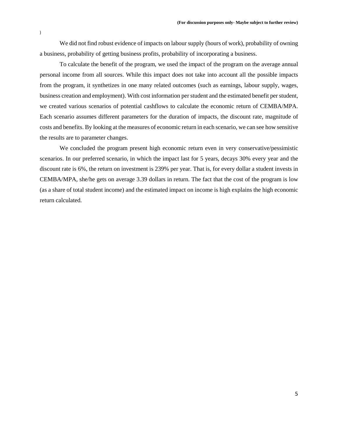We did not find robust evidence of impacts on labour supply (hours of work), probability of owning a business, probability of getting business profits, probability of incorporating a business.

To calculate the benefit of the program, we used the impact of the program on the average annual personal income from all sources. While this impact does not take into account all the possible impacts from the program, it synthetizes in one many related outcomes (such as earnings, labour supply, wages, business creation and employment). With cost information per student and the estimated benefit per student, we created various scenarios of potential cashflows to calculate the economic return of CEMBA/MPA. Each scenario assumes different parameters for the duration of impacts, the discount rate, magnitude of costs and benefits. By looking at the measures of economic return in each scenario, we can see how sensitive the results are to parameter changes.

We concluded the program present high economic return even in very conservative/pessimistic scenarios. In our preferred scenario, in which the impact last for 5 years, decays 30% every year and the discount rate is 6%, the return on investment is 239% per year. That is, for every dollar a student invests in CEMBA/MPA, she/he gets on average 3.39 dollars in return. The fact that the cost of the program is low (as a share of total student income) and the estimated impact on income is high explains the high economic return calculated.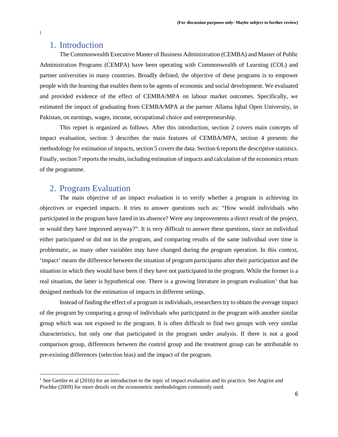## <span id="page-5-0"></span>1. Introduction

The Commonwealth Executive Master of Business Administration (CEMBA) and Master of Public Administration Programs (CEMPA) have been operating with Commonwealth of Learning (COL) and partner universities in many countries. Broadly defined, the objective of these programs is to empower people with the learning that enables them to be agents of economic and social development. We evaluated and provided evidence of the effect of CEMBA/MPA on labour market outcomes. Specifically, we estimated the impact of graduating from CEMBA/MPA at the partner Allama Iqbal Open University, in Pakistan, on earnings, wages, income, occupational choice and entrepreneurship.

This report is organized as follows. After this introduction, section 2 covers main concepts of impact evaluation, section 3 describes the main features of CEMBA/MPA, section 4 presents the methodology for estimation of impacts, section 5 covers the data. Section 6 reports the descriptive statistics. Finally, section 7 reports the results, including estimation of impacts and calculation of the economics return of the programme.

## <span id="page-5-1"></span>2. Program Evaluation

The main objective of an impact evaluation is to verify whether a program is achieving its objectives or expected impacts. It tries to answer questions such as: "How would individuals who participated in the program have fared in its absence? Were any improvements a direct result of the project, or would they have improved anyway?". It is very difficult to answer these questions, since an individual either participated or did not in the program, and comparing results of the same individual over time is problematic, as many other variables may have changed during the program operation. In this context, 'impact' means the difference between the situation of program participants after their participation and the situation in which they would have been if they have not participated in the program. While the former is a real situation, the latter is hypothetical one. There is a growing literature in program evaluation<sup>[1](#page-5-2)</sup> that has designed methods for the estimation of impacts in different settings.

Instead of finding the effect of a program in individuals, researchers try to obtain the average impact of the program by comparing a group of individuals who participated in the program with another similar group which was not exposed to the program. It is often difficult to find two groups with very similar characteristics, but only one that participated in the program under analysis. If there is not a good comparison group, differences between the control group and the treatment group can be attributable to pre-existing differences (selection bias) and the impact of the program.

l

<span id="page-5-2"></span><sup>&</sup>lt;sup>1</sup> See Gertler et al (2016) for an introduction to the topic of impact evaluation and its practice. See Angrist and Pischke (2009) for more details on the econometric methodologies commonly used.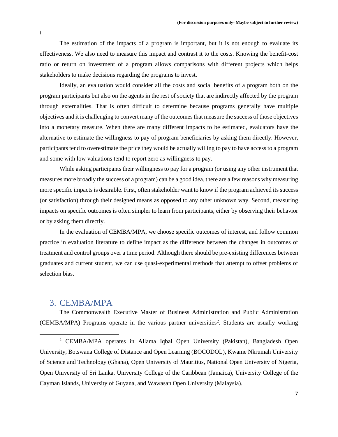The estimation of the impacts of a program is important, but it is not enough to evaluate its effectiveness. We also need to measure this impact and contrast it to the costs. Knowing the benefit-cost ratio or return on investment of a program allows comparisons with different projects which helps stakeholders to make decisions regarding the programs to invest.

Ideally, an evaluation would consider all the costs and social benefits of a program both on the program participants but also on the agents in the rest of society that are indirectly affected by the program through externalities. That is often difficult to determine because programs generally have multiple objectives and it is challenging to convert many of the outcomes that measure the success of those objectives into a monetary measure. When there are many different impacts to be estimated, evaluators have the alternative to estimate the willingness to pay of program beneficiaries by asking them directly. However, participants tend to overestimate the price they would be actually willing to pay to have access to a program and some with low valuations tend to report zero as willingness to pay.

While asking participants their willingness to pay for a program (or using any other instrument that measures more broadly the success of a program) can be a good idea, there are a few reasons why measuring more specific impacts is desirable. First, often stakeholder want to know if the program achieved its success (or satisfaction) through their designed means as opposed to any other unknown way. Second, measuring impacts on specific outcomes is often simpler to learn from participants, either by observing their behavior or by asking them directly.

In the evaluation of CEMBA/MPA, we choose specific outcomes of interest, and follow common practice in evaluation literature to define impact as the difference between the changes in outcomes of treatment and control groups over a time period. Although there should be pre-existing differences between graduates and current student, we can use quasi-experimental methods that attempt to offset problems of selection bias.

## <span id="page-6-0"></span>3. CEMBA/MPA

 $\overline{\phantom{a}}$ 

The Commonwealth Executive Master of Business Administration and Public Administration (CEMBA/MPA) Programs operate in the various partner universities<sup>[2](#page-6-1)</sup>. Students are usually working

<span id="page-6-1"></span><sup>2</sup> CEMBA/MPA operates in Allama Iqbal Open University (Pakistan), Bangladesh Open University, Botswana College of Distance and Open Learning (BOCODOL), Kwame Nkrumah University of Science and Technology (Ghana), Open University of Mauritius, National Open University of Nigeria, Open University of Sri Lanka, University College of the Caribbean (Jamaica), University College of the Cayman Islands, University of Guyana, and Wawasan Open University (Malaysia).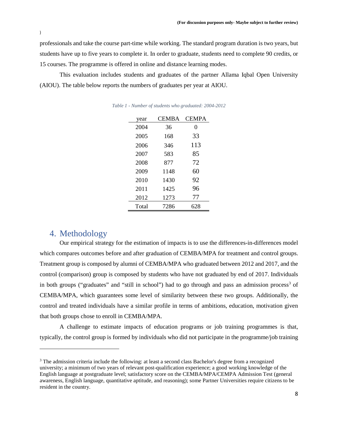professionals and take the course part-time while working. The standard program duration is two years, but students have up to five years to complete it. In order to graduate, students need to complete 90 credits, or 15 courses. The programme is offered in online and distance learning modes.

<span id="page-7-1"></span>This evaluation includes students and graduates of the partner Allama Iqbal Open University (AIOU). The table below reports the numbers of graduates per year at AIOU.

| year  | <b>CEMBA</b> | <b>CEMPA</b> |
|-------|--------------|--------------|
| 2004  | 36           | 0            |
| 2005  | 168          | 33           |
| 2006  | 346          | 113          |
| 2007  | 583          | 85           |
| 2008  | 877          | 72           |
| 2009  | 1148         | 60           |
| 2010  | 1430         | 92           |
| 2011  | 1425         | 96           |
| 2012  | 1273         | 77           |
| Total | 7286         | 628          |

*Table 1 - Number of students who graduated: 2004-2012*

## <span id="page-7-0"></span>4. Methodology

 $\overline{\phantom{a}}$ 

Our empirical strategy for the estimation of impacts is to use the differences-in-differences model which compares outcomes before and after graduation of CEMBA/MPA for treatment and control groups. Treatment group is composed by alumni of CEMBA/MPA who graduated between 2012 and 2017, and the control (comparison) group is composed by students who have not graduated by end of 2017. Individuals in both groups ("graduates" and "still in school") had to go through and pass an admission process<sup>[3](#page-7-2)</sup> of CEMBA/MPA, which guarantees some level of similarity between these two groups. Additionally, the control and treated individuals have a similar profile in terms of ambitions, education, motivation given that both groups chose to enroll in CEMBA/MPA.

A challenge to estimate impacts of education programs or job training programmes is that, typically, the control group is formed by individuals who did not participate in the programme/job training

<span id="page-7-2"></span><sup>&</sup>lt;sup>3</sup> The admission criteria include the following: at least a second class Bachelor's degree from a recognized university; a minimum of two years of relevant post-qualification experience; a good working knowledge of the English language at postgraduate level; satisfactory score on the CEMBA/MPA/CEMPA Admission Test (general awareness, English language, quantitative aptitude, and reasoning); some Partner Universities require citizens to be resident in the country.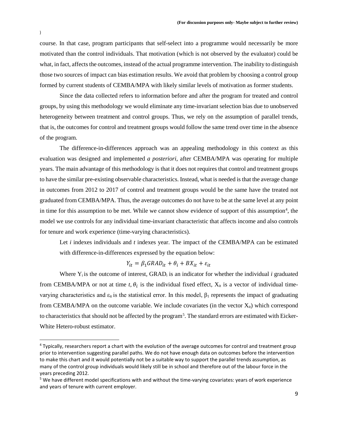course. In that case, program participants that self-select into a programme would necessarily be more motivated than the control individuals. That motivation (which is not observed by the evaluator) could be what, in fact, affects the outcomes, instead of the actual programme intervention. The inability to distinguish those two sources of impact can bias estimation results. We avoid that problem by choosing a control group formed by current students of CEMBA/MPA with likely similar levels of motivation as former students.

Since the data collected refers to information before and after the program for treated and control groups, by using this methodology we would eliminate any time-invariant selection bias due to unobserved heterogeneity between treatment and control groups. Thus, we rely on the assumption of parallel trends, that is, the outcomes for control and treatment groups would follow the same trend over time in the absence of the program.

The difference-in-differences approach was an appealing methodology in this context as this evaluation was designed and implemented *a posteriori*, after CEMBA/MPA was operating for multiple years. The main advantage of this methodology is that it does not requires that control and treatment groups to have the similar pre-existing observable characteristics. Instead, what is needed is that the average change in outcomes from 2012 to 2017 of control and treatment groups would be the same have the treated not graduated from CEMBA/MPA. Thus, the average outcomes do not have to be at the same level at any point in time for this assumption to be met. While we cannot show evidence of support of this assumption<sup>[4](#page-8-0)</sup>, the model we use controls for any individual time-invariant characteristic that affects income and also controls for tenure and work experience (time-varying characteristics).

Let *i* indexes individuals and *t* indexes year. The impact of the CEMBA/MPA can be estimated with difference-in-differences expressed by the equation below:

$$
Y_{it} = \beta_1 GRAD_{it} + \theta_i + BX_{it} + \varepsilon_{it}
$$

Where  $Y_i$  is the outcome of interest,  $\text{GRAD}_i$  is an indicator for whether the individual *i* graduated from CEMBA/MPA or not at time  $t, \theta_i$  is the individual fixed effect,  $X_{it}$  is a vector of individual timevarying characteristics and  $ε_{it}$  is the statistical error. In this model,  $β_1$  represents the impact of graduating from CEMBA/MPA on the outcome variable. We include covariates (in the vector  $X_{it}$ ) which correspond to characteristics that should not be affected by the program<sup>[5](#page-8-1)</sup>. The standard errors are estimated with Eicker-White Hetero-robust estimator.

<span id="page-8-0"></span> <sup>4</sup> Typically, researchers report a chart with the evolution of the average outcomes for control and treatment group prior to intervention suggesting parallel paths. We do not have enough data on outcomes before the intervention to make this chart and it would potentially not be a suitable way to support the parallel trends assumption, as many of the control group individuals would likely still be in school and therefore out of the labour force in the years preceding 2012.

<span id="page-8-1"></span><sup>&</sup>lt;sup>5</sup> We have different model specifications with and without the time-varying covariates: years of work experience and years of tenure with current employer.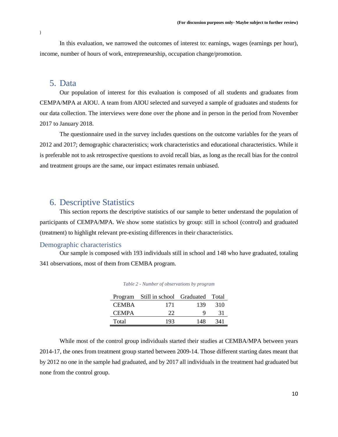In this evaluation, we narrowed the outcomes of interest to: earnings, wages (earnings per hour), income, number of hours of work, entrepreneurship, occupation change/promotion.

## <span id="page-9-0"></span>5. Data

Our population of interest for this evaluation is composed of all students and graduates from CEMPA/MPA at AIOU. A team from AIOU selected and surveyed a sample of graduates and students for our data collection. The interviews were done over the phone and in person in the period from November 2017 to January 2018.

The questionnaire used in the survey includes questions on the outcome variables for the years of 2012 and 2017; demographic characteristics; work characteristics and educational characteristics. While it is preferable not to ask retrospective questions to avoid recall bias, as long as the recall bias for the control and treatment groups are the same, our impact estimates remain unbiased.

## <span id="page-9-1"></span>6. Descriptive Statistics

This section reports the descriptive statistics of our sample to better understand the population of participants of CEMPA/MPA. We show some statistics by group: still in school (control) and graduated (treatment) to highlight relevant pre-existing differences in their characteristics.

#### <span id="page-9-2"></span>Demographic characteristics

<span id="page-9-3"></span>Our sample is composed with 193 individuals still in school and 148 who have graduated, totaling 341 observations, most of them from CEMBA program.

|              | Program Still in school Graduated Total |     |     |
|--------------|-----------------------------------------|-----|-----|
| <b>CEMBA</b> | 171                                     | 139 | 310 |
| <b>CEMPA</b> | 22                                      |     | 31  |
| Total        | 193                                     | 148 | 341 |

*Table 2 - Number of observations by program*

While most of the control group individuals started their studies at CEMBA/MPA between years 2014-17, the ones from treatment group started between 2009-14. Those different starting dates meant that by 2012 no one in the sample had graduated, and by 2017 all individuals in the treatment had graduated but none from the control group.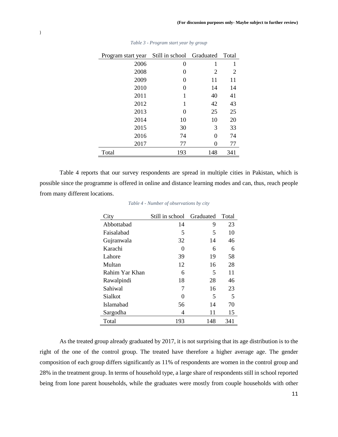<span id="page-10-0"></span>

| Program start year | Still in school | Graduated | Total |
|--------------------|-----------------|-----------|-------|
| 2006               | 0               | 1         | 1     |
| 2008               | 0               | 2         | 2     |
| 2009               | 0               | 11        | 11    |
| 2010               | 0               | 14        | 14    |
| 2011               | 1               | 40        | 41    |
| 2012               | 1               | 42        | 43    |
| 2013               | 0               | 25        | 25    |
| 2014               | 10              | 10        | 20    |
| 2015               | 30              | 3         | 33    |
| 2016               | 74              | 0         | 74    |
| 2017               | 77              | 0         | 77    |
| Total              | 193             | 148       | 341   |

*Table 3 - Program start year by group*

<span id="page-10-1"></span>Table 4 reports that our survey respondents are spread in multiple cities in Pakistan, which is possible since the programme is offered in online and distance learning modes and can, thus, reach people from many different locations.

| City             | Still in school | Graduated | Total |
|------------------|-----------------|-----------|-------|
| Abbottabad       | 14              | 9         | 23    |
| Faisalabad       | 5               | 5         | 10    |
| Gujranwala       | 32              | 14        | 46    |
| Karachi          | 0               | 6         | 6     |
| Lahore           | 39              | 19        | 58    |
| Multan           | 12              | 16        | 28    |
| Rahim Yar Khan   | 6               | 5         | 11    |
| Rawalpindi       | 18              | 28        | 46    |
| Sahiwal          | 7               | 16        | 23    |
| Sialkot          | 0               | 5         | 5     |
| <b>Islamabad</b> | 56              | 14        | 70    |
| Sargodha         | 4               | 11        | 15    |
| Total            | 193             | 148       | 341   |

*Table 4 - Number of observations by city*

As the treated group already graduated by 2017, it is not surprising that its age distribution is to the right of the one of the control group. The treated have therefore a higher average age. The gender composition of each group differs significantly as 11% of respondents are women in the control group and 28% in the treatment group. In terms of household type, a large share of respondents still in school reported being from lone parent households, while the graduates were mostly from couple households with other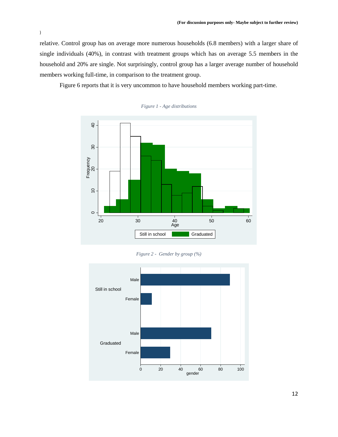relative. Control group has on average more numerous households (6.8 members) with a larger share of single individuals (40%), in contrast with treatment groups which has on average 5.5 members in the household and 20% are single. Not surprisingly, control group has a larger average number of household members working full-time, in comparison to the treatment group.

<span id="page-11-0"></span>Figure 6 reports that it is very uncommon to have household members working part-time.



*Figure 1 - Age distributions*

*Figure 2 - Gender by group (%)*

<span id="page-11-1"></span>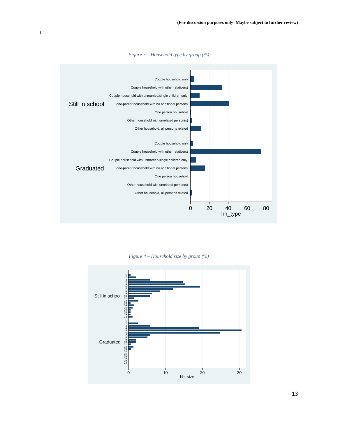<span id="page-12-0"></span>

*Figure 3 – Household type by group (%)*

*Figure 4 – Household size by group (%)*

<span id="page-12-1"></span>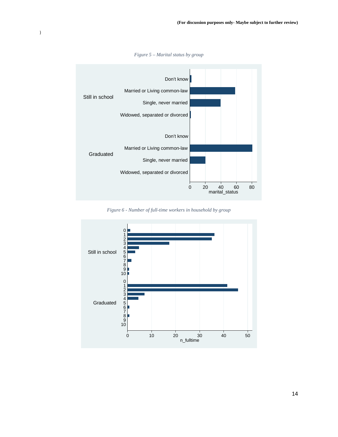<span id="page-13-0"></span>

*Figure 5 – Marital status by group*

*Figure 6 - Number of full-time workers in household by group*

<span id="page-13-1"></span>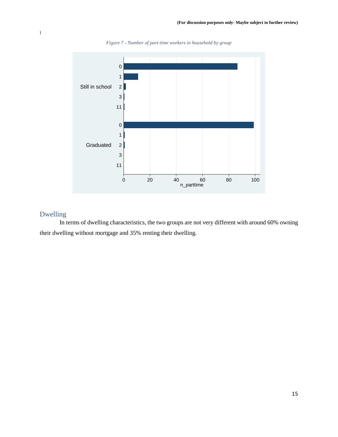<span id="page-14-1"></span>

*Figure 7 - Number of part-time workers in household by group*

## <span id="page-14-0"></span>Dwelling

In terms of dwelling characteristics, the two groups are not very different with around 60% owning their dwelling without mortgage and 35% renting their dwelling.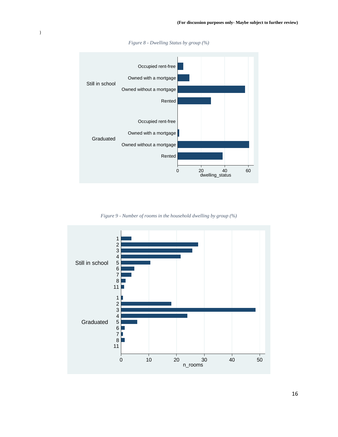

*Figure 8 - Dwelling Status by group (%)*

<span id="page-15-0"></span> $\,$   $\,$ 

*Figure 9 - Number of rooms in the household dwelling by group (%)*

<span id="page-15-1"></span>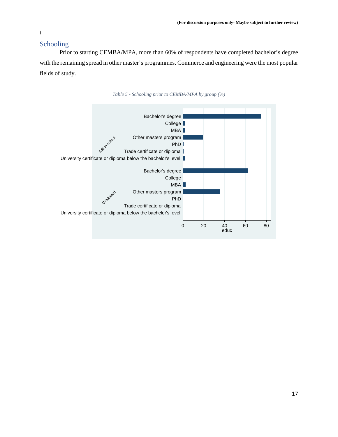## <span id="page-16-0"></span>Schooling

Prior to starting CEMBA/MPA, more than 60% of respondents have completed bachelor's degree with the remaining spread in other master's programmes. Commerce and engineering were the most popular fields of study.

<span id="page-16-1"></span>

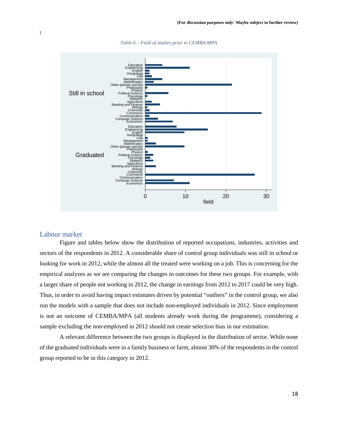

*Table 6 – Field of studies prior to CEMBA/MPA*

#### <span id="page-17-0"></span>Labour market

<span id="page-17-1"></span>)

Figure and tables below show the distribution of reported occupations, industries, activities and sectors of the respondents in 2012. A considerable share of control group individuals was still in school or looking for work in 2012, while the almost all the treated were working on a job. This is concerning for the empirical analyzes as we are comparing the changes in outcomes for these two groups. For example, with a larger share of people not working in 2012, the change in earnings from 2012 to 2017 could be very high. Thus, in order to avoid having impact estimates driven by potential "outliers" in the control group, we also run the models with a sample that does not include non-employed individuals in 2012. Since employment is not an outcome of CEMBA/MPA (all students already work during the programme), considering a sample excluding the non-employed in 2012 should not create selection bias in our estimation.

A relevant difference between the two groups is displayed in the distribution of sector. While none of the graduated individuals were in a family business or farm, almost 30% of the respondents in the control group reported to be in this category in 2012.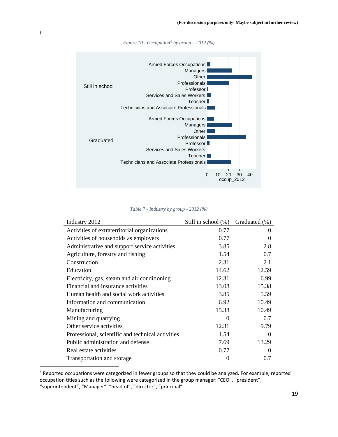<span id="page-18-1"></span>

*Figure 10 - Occupation[6](#page-18-2) by group – 2012 (%)*

*Table 7 - Industry by group - 2012 (%)*

<span id="page-18-0"></span>

| Industry 2012                                     | Still in school (%) | Graduated (%) |
|---------------------------------------------------|---------------------|---------------|
| Activities of extraterritorial organizations      | 0.77                | $\Omega$      |
| Activities of households as employers             | 0.77                | 0             |
| Administrative and support service activities     | 3.85                | 2.8           |
| Agriculture, forestry and fishing                 | 1.54                | 0.7           |
| Construction                                      | 2.31                | 2.1           |
| Education                                         | 14.62               | 12.59         |
| Electricity, gas, steam and air conditioning      | 12.31               | 6.99          |
| Financial and insurance activities                | 13.08               | 15.38         |
| Human health and social work activities           | 3.85                | 5.59          |
| Information and communication                     | 6.92                | 10.49         |
| Manufacturing                                     | 15.38               | 10.49         |
| Mining and quarrying                              | $\theta$            | 0.7           |
| Other service activities                          | 12.31               | 9.79          |
| Professional, scientific and technical activities | 1.54                | 0             |
| Public administration and defense                 | 7.69                | 13.29         |
| Real estate activities                            | 0.77                | $\Omega$      |
| Transportation and storage                        | 0                   | 0.7           |

<span id="page-18-2"></span> <sup>6</sup> Reported occupations were categorized in fewer groups so that they could be analyzed. For example, reported occupation titles such as the following were categorized in the group manager: "CEO", "president", "superintendent", "Manager", "head of", "director", "principal".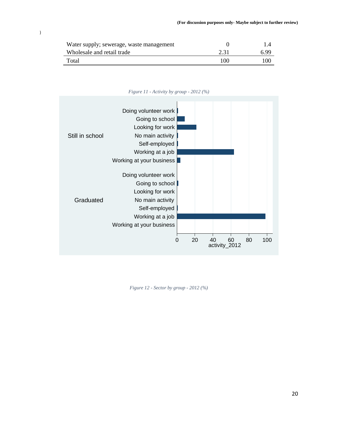| Water supply; sewerage, waste management |      |     |
|------------------------------------------|------|-----|
| Wholesale and retail trade               | 2.31 | 699 |
| Total                                    | 100  | 100 |



<span id="page-19-0"></span>

<span id="page-19-1"></span>*Figure 12 - Sector by group - 2012 (%)*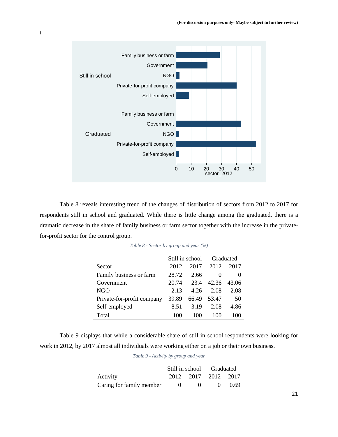

<span id="page-20-0"></span>Table 8 reveals interesting trend of the changes of distribution of sectors from 2012 to 2017 for respondents still in school and graduated. While there is little change among the graduated, there is a dramatic decrease in the share of family business or farm sector together with the increase in the privatefor-profit sector for the control group.

|                            | Still in school |       | Graduated |       |
|----------------------------|-----------------|-------|-----------|-------|
| Sector                     | 2012            | 2017  | 2012      | 2017  |
| Family business or farm    | 28.72           | 2.66  |           |       |
| Government                 | 20.74           | 23.4  | 42.36     | 43.06 |
| NGO                        | 2.13            | 4 26  | 2.08      | 2.08  |
| Private-for-profit company | 39.89           | 66.49 | 53.47     | 50    |
| Self-employed              | 8.51            | 3.19  | 2.08      | 4.86  |
| Total                      | 100             | 100   | 100       | 100   |

| Table 8 - Sector by group and year (%) |  |  |  |  |  |  |
|----------------------------------------|--|--|--|--|--|--|
|----------------------------------------|--|--|--|--|--|--|

<span id="page-20-1"></span>Table 9 displays that while a considerable share of still in school respondents were looking for work in 2012, by 2017 almost all individuals were working either on a job or their own business.

*Table 9 - Activity by group and year*

|                          | Still in school Graduated |      |
|--------------------------|---------------------------|------|
| Activity                 | 2012 2017 2012 2017       |      |
| Caring for family member | $\mathbf{U}$              | 0.69 |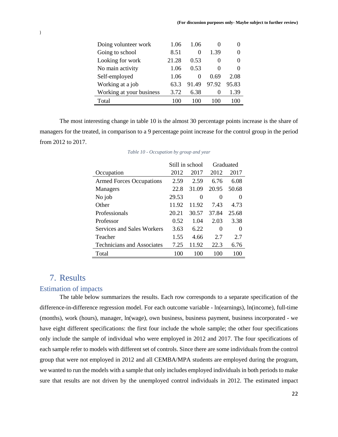| Doing volunteer work     | 1.06  | 1 06     |                   |       |
|--------------------------|-------|----------|-------------------|-------|
| Going to school          | 8.51  | $\Omega$ | 1.39              |       |
| Looking for work         | 21.28 | 0.53     | $\theta$          |       |
| No main activity         | 1.06  | 0.53     | $\theta$          |       |
| Self-employed            | 1.06  | $\Omega$ | 0.69              | 2.08  |
| Working at a job         | 63.3  | 91.49    | 97.92             | 95.83 |
| Working at your business | 3.72  | 6.38     | $\mathbf{\Omega}$ | 1.39  |
| Total                    | 100   | 100      | 100               | 100   |

<span id="page-21-2"></span>The most interesting change in table 10 is the almost 30 percentage points increase is the share of managers for the treated, in comparison to a 9 percentage point increase for the control group in the period from 2012 to 2017.

|                                   | Still in school |          |       | Graduated |
|-----------------------------------|-----------------|----------|-------|-----------|
| Occupation                        | 2012            | 2017     | 2012  | 2017      |
| <b>Armed Forces Occupations</b>   | 2.59            | 2.59     | 6.76  | 6.08      |
| Managers                          | 22.8            | 31.09    | 20.95 | 50.68     |
| No job                            | 29.53           | $\Omega$ | 0     | $\theta$  |
| Other                             | 11.92           | 11.92    | 7.43  | 4.73      |
| Professionals                     | 20.21           | 30.57    | 37.84 | 25.68     |
| Professor                         | 0.52            | 1.04     | 2.03  | 3.38      |
| Services and Sales Workers        | 3.63            | 6.22     | 0     | $\Omega$  |
| Teacher                           | 1.55            | 4.66     | 2.7   | 2.7       |
| <b>Technicians and Associates</b> | 7.25            | 11.92    | 22.3  | 6.76      |
| Total                             | 100             | 100      | 100   | 100       |

## <span id="page-21-0"></span>7. Results

#### <span id="page-21-1"></span>Estimation of impacts

The table below summarizes the results. Each row corresponds to a separate specification of the difference-in-difference regression model. For each outcome variable - ln(earnings), ln(income), full-time (months), work (hours), manager, ln(wage), own business, business payment, business incorporated - we have eight different specifications: the first four include the whole sample; the other four specifications only include the sample of individual who were employed in 2012 and 2017. The four specifications of each sample refer to models with different set of controls. Since there are some individuals from the control group that were not employed in 2012 and all CEMBA/MPA students are employed during the program, we wanted to run the models with a sample that only includes employed individuals in both periods to make sure that results are not driven by the unemployed control individuals in 2012. The estimated impact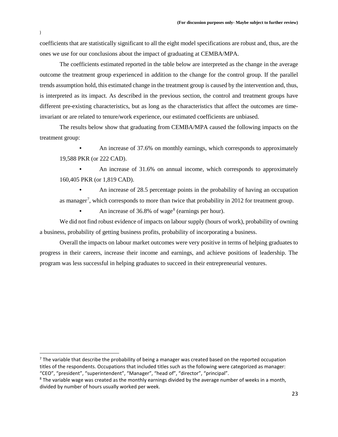coefficients that are statistically significant to all the eight model specifications are robust and, thus, are the ones we use for our conclusions about the impact of graduating at CEMBA/MPA.

The coefficients estimated reported in the table below are interpreted as the change in the average outcome the treatment group experienced in addition to the change for the control group. If the parallel trends assumption hold, this estimated change in the treatment group is caused by the intervention and, thus, is interpreted as its impact. As described in the previous section, the control and treatment groups have different pre-existing characteristics, but as long as the characteristics that affect the outcomes are timeinvariant or are related to tenure/work experience, our estimated coefficients are unbiased.

The results below show that graduating from CEMBA/MPA caused the following impacts on the treatment group:

• An increase of 37.6% on monthly earnings, which corresponds to approximately 19,588 PKR (or 222 CAD).

• An increase of 31.6% on annual income, which corresponds to approximately 160,405 PKR (or 1,819 CAD).

• An increase of 28.5 percentage points in the probability of having an occupation as manager<sup>[7](#page-22-0)</sup>, which corresponds to more than twice that probability in 2012 for treatment group.

An increase of  $36.8\%$  $36.8\%$  $36.8\%$  of wage<sup>8</sup> (earnings per hour).

We did not find robust evidence of impacts on labour supply (hours of work), probability of owning a business, probability of getting business profits, probability of incorporating a business.

Overall the impacts on labour market outcomes were very positive in terms of helping graduates to progress in their careers, increase their income and earnings, and achieve positions of leadership. The program was less successful in helping graduates to succeed in their entrepreneurial ventures.

<span id="page-22-0"></span> $<sup>7</sup>$  The variable that describe the probability of being a manager was created based on the reported occupation</sup> titles of the respondents. Occupations that included titles such as the following were categorized as manager: "CEO", "president", "superintendent", "Manager", "head of", "director", "principal".

<span id="page-22-1"></span><sup>&</sup>lt;sup>8</sup> The variable wage was created as the monthly earnings divided by the average number of weeks in a month, divided by number of hours usually worked per week.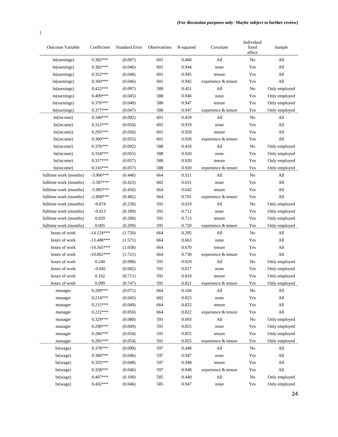| Outcome Variable       | Coefficient  | <b>Standard Error</b> | Observations | R-squared | Covariate           | Individual<br>fixed<br>effect | Sample                      |
|------------------------|--------------|-----------------------|--------------|-----------|---------------------|-------------------------------|-----------------------------|
| ln(earnings)           | $0.382***$   | (0.097)               | 601          | 0.460     | All                 | No                            | All                         |
| ln(earnings)           | $0.382***$   | (0.046)               | 601          | 0.944     | none                | Yes                           | All                         |
| ln(earnings)           | $0.352***$   | (0.048)               | 601          | 0.945     | tenure              | Yes                           | All                         |
| ln(earnings)           | $0.360***$   | (0.046)               | 601          | 0.945     | experience & tenure | Yes                           | All                         |
| ln(earnings)           | $0.422***$   | (0.097)               | 588          | 0.451     | All                 | No                            | Only employed               |
| ln(earnings)           | $0.409***$   | (0.045)               | 588          | 0.946     | none                | Yes                           | Only employed               |
| ln(earnings)           | $0.376***$   | (0.048)               | 588          | 0.947     | tenure              | Yes                           | Only employed               |
| ln(earnings)           | $0.377***$   | (0.047)               | 588          | 0.947     | experience & tenure | Yes                           | Only employed               |
| ln(income)             | $0.340***$   | (0.092)               | 601          | 0.429     | All                 | No                            | All                         |
| ln(income)             | $0.312***$   | (0.054)               | 601          | 0.919     | none                | Yes                           | All                         |
| ln(income)             | $0.295***$   | (0.056)               | 601          | 0.920     | tenure              | Yes                           | All                         |
| ln(income)             | $0.300***$   | (0.055)               | 601          | 0.920     | experience & tenure | Yes                           | All                         |
| ln(income)             | $0.376***$   | (0.092)               | 588          | 0.418     | All                 | No                            | Only employed               |
| ln(income)             | $0.334***$   | (0.055)               | 588          | 0.920     | none                | Yes                           | Only employed               |
| ln(income)             | $0.317***$   | (0.057)               | 588          | 0.920     | tenure              | Yes                           | Only employed               |
| ln(income)             | $0.316***$   | (0.057)               | 588          | 0.920     | experience & tenure | Yes                           | Only employed               |
| fulltime work (months) | $-3.906***$  | (0.440)               | 664          | 0.311     | All                 | No                            | All                         |
| fulltime work (months) | $-3.587***$  | (0.423)               | 682          | 0.631     | none                | Yes                           | All                         |
| fulltime work (months) | $-3.985***$  | (0.456)               | 664          | 0.642     | tenure              | Yes                           | All                         |
| fulltime work (months) | $-2.808***$  | (0.482)               | 664          | 0.701     | experience & tenure | Yes                           | All                         |
| fulltime work (months) | $-0.074$     | (0.230)               | 591          | 0.019     | All                 | No                            | Only employed               |
| fulltime work (months) | $-0.013$     | (0.189)               | 591          | 0.712     | none                | Yes                           | Only employed               |
| fulltime work (months) | 0.029        | (0.200)               | 591          | 0.713     | tenure              | Yes                           | Only employed               |
| fulltime work (months) | 0.005        | (0.209)               | 591          | 0.720     | experience & tenure | Yes                           | Only employed               |
| hours of work          | $-14.124***$ | (1.720)               | 664          | 0.295     | All                 | No                            | All                         |
| hours of work          | $-13.488***$ | (1.571)               | 664          | 0.663     | none                | Yes                           | All                         |
| hours of work          | $-14.565***$ | (1.658)               | 664          | 0.670     | tenure              | Yes                           | All                         |
| hours of work          | $-10.062***$ | (1.721)               | 664          | 0.730     | experience & tenure | Yes                           | All                         |
| hours of work          | 0.240        | (0.998)               | 591          | 0.029     | All                 | No                            | Only employed               |
| hours of work          | $-0.042$     | (0.682)               | 591          | 0.817     | none                | Yes                           | Only employed               |
| hours of work          | 0.162        | (0.711)               | 591          | 0.818     | tenure              | Yes                           | Only employed               |
| hours of work          | 0.099        | (0.747)               | 591          | 0.821     | experience & tenure | Yes                           | Only employed               |
| manager                | $0.209***$   | (0.071)               | 664          | 0.104     | All                 | ${\rm No}$                    | $\mathop{\rm All}\nolimits$ |
| manager                | $0.214***$   | (0.045)               | 682          | 0.823     | none                | Yes                           | All                         |
| manager                | $0.215***$   | (0.049)               | 664          | 0.822     | tenure              | Yes                           | All                         |
| manager                | $0.222***$   | (0.050)               | 664          | 0.822     | experience & tenure | Yes                           | All                         |
| manager                | $0.329***$   | (0.080)               | 591          | 0.093     | All                 | $\rm No$                      | Only employed               |
| manager                | $0.290***$   | (0.049)               | 591          | 0.855     | none                | Yes                           | Only employed               |
| manager                | $0.286***$   | (0.054)               | 591          | 0.855     | tenure              | Yes                           | Only employed               |
| manager                | $0.285***$   | (0.054)               | 591          | 0.855     | experience & tenure | Yes                           | Only employed               |
| ln(wage)               | $0.378***$   | (0.099)               | 597          | 0.448     | All                 | $\rm No$                      | All                         |
| ln(wage)               | $0.386***$   | (0.046)               | 597          | 0.947     | none                | Yes                           | All                         |
| ln(wage)               | $0.355***$   | (0.048)               | 597          | 0.948     | tenure              | Yes                           | All                         |
| ln(wage)               | $0.358***$   | (0.046)               | 597          | 0.948     | experience & tenure | Yes                           | All                         |
| ln(wage)               | $0.407***$   | (0.100)               | 585          | 0.440     | All                 | $\rm No$                      | Only employed               |
| ln(wage)               | $0.402***$   | (0.046)               | 585          | 0.947     | none                | Yes                           | Only employed               |
|                        |              |                       |              |           |                     |                               |                             |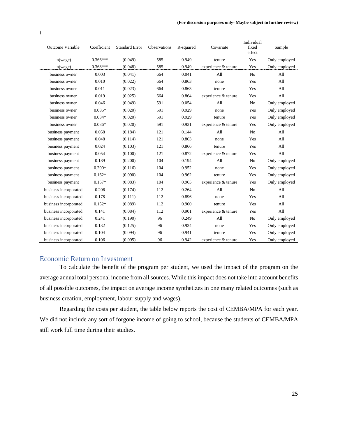| <b>Outcome Variable</b> | Coefficient | <b>Standard Error</b> | <b>Observations</b> | R-squared | Covariate           | Individual<br>fixed<br>effect | Sample        |
|-------------------------|-------------|-----------------------|---------------------|-----------|---------------------|-------------------------------|---------------|
| ln(wage)                | $0.366***$  | (0.049)               | 585                 | 0.949     | tenure              | Yes                           | Only employed |
| ln(wage)                | $0.368***$  | (0.048)               | 585                 | 0.949     | experience & tenure | Yes                           | Only employed |
| business owner          | 0.003       | (0.041)               | 664                 | 0.041     | All                 | N <sub>0</sub>                | All           |
| business owner          | 0.010       | (0.022)               | 664                 | 0.863     | none                | Yes                           | A11           |
| business owner          | 0.011       | (0.023)               | 664                 | 0.863     | tenure              | Yes                           | All           |
| business owner          | 0.019       | (0.025)               | 664                 | 0.864     | experience & tenure | Yes                           | All           |
| business owner          | 0.046       | (0.049)               | 591                 | 0.054     | A11                 | N <sub>0</sub>                | Only employed |
| business owner          | $0.035*$    | (0.020)               | 591                 | 0.929     | none                | Yes                           | Only employed |
| business owner          | $0.034*$    | (0.020)               | 591                 | 0.929     | tenure              | Yes                           | Only employed |
| business owner          | $0.036*$    | (0.020)               | 591                 | 0.931     | experience & tenure | Yes                           | Only employed |
| business payment        | 0.058       | (0.184)               | 121                 | 0.144     | All                 | N <sub>o</sub>                | All           |
| business payment        | 0.048       | (0.114)               | 121                 | 0.863     | none                | Yes                           | All           |
| business payment        | 0.024       | (0.103)               | 121                 | 0.866     | tenure              | Yes                           | A11           |
| business payment        | 0.054       | (0.100)               | 121                 | 0.872     | experience & tenure | Yes                           | All           |
| business payment        | 0.189       | (0.200)               | 104                 | 0.194     | All                 | N <sub>0</sub>                | Only employed |
| business payment        | $0.200*$    | (0.116)               | 104                 | 0.952     | none                | Yes                           | Only employed |
| business payment        | $0.162*$    | (0.090)               | 104                 | 0.962     | tenure              | Yes                           | Only employed |
| business payment        | $0.157*$    | (0.083)               | 104                 | 0.965     | experience & tenure | Yes                           | Only employed |
| business incorporated   | 0.206       | (0.174)               | 112                 | 0.264     | A11                 | N <sub>0</sub>                | A11           |
| business incorporated   | 0.178       | (0.111)               | 112                 | 0.896     | none                | Yes                           | All           |
| business incorporated   | $0.152*$    | (0.089)               | 112                 | 0.900     | tenure              | Yes                           | All           |
| business incorporated   | 0.141       | (0.084)               | 112                 | 0.901     | experience & tenure | Yes                           | All           |
| business incorporated   | 0.241       | (0.190)               | 96                  | 0.249     | All                 | N <sub>o</sub>                | Only employed |
| business incorporated   | 0.132       | (0.125)               | 96                  | 0.934     | none                | Yes                           | Only employed |
| business incorporated   | 0.104       | (0.094)               | 96                  | 0.941     | tenure              | Yes                           | Only employed |
| business incorporated   | 0.106       | (0.095)               | 96                  | 0.942     | experience & tenure | Yes                           | Only employed |

## <span id="page-24-0"></span>Economic Return on Investment

To calculate the benefit of the program per student, we used the impact of the program on the average annual total personal income from all sources. While this impact does not take into account benefits of all possible outcomes, the impact on average income synthetizes in one many related outcomes (such as business creation, employment, labour supply and wages).

Regarding the costs per student, the table below reports the cost of CEMBA/MPA for each year. We did not include any sort of forgone income of going to school, because the students of CEMBA/MPA still work full time during their studies.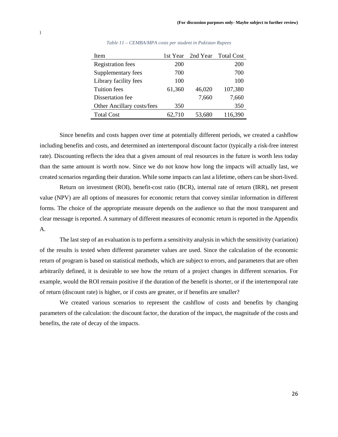<span id="page-25-0"></span>

| Item                       | 1st Year |        | 2nd Year Total Cost |
|----------------------------|----------|--------|---------------------|
| <b>Registration fees</b>   | 200      |        | 200                 |
| Supplementary fees         | 700      |        | 700                 |
| Library facility fees      | 100      |        | 100                 |
| <b>Tuition</b> fees        | 61,360   | 46,020 | 107,380             |
| Dissertation fee           |          | 7,660  | 7,660               |
| Other Ancillary costs/fees | 350      |        | 350                 |
| <b>Total Cost</b>          | 62,710   | 53,680 | 116,390             |

*Table 11 – CEMBA/MPA costs per student in Pakistan Rupees*

Since benefits and costs happen over time at potentially different periods, we created a cashflow including benefits and costs, and determined an intertemporal discount factor (typically a risk-free interest rate). Discounting reflects the idea that a given amount of real resources in the future is worth less today than the same amount is worth now. Since we do not know how long the impacts will actually last, we created scenarios regarding their duration. While some impacts can last a lifetime, others can be short-lived.

Return on investment (ROI), benefit-cost ratio (BCR), internal rate of return (IRR), net present value (NPV) are all options of measures for economic return that convey similar information in different forms. The choice of the appropriate measure depends on the audience so that the most transparent and clear message is reported. A summary of different measures of economic return is reported in the Appendix A.

The last step of an evaluation is to perform a sensitivity analysis in which the sensitivity (variation) of the results is tested when different parameter values are used. Since the calculation of the economic return of program is based on statistical methods, which are subject to errors, and parameters that are often arbitrarily defined, it is desirable to see how the return of a project changes in different scenarios. For example, would the ROI remain positive if the duration of the benefit is shorter, or if the intertemporal rate of return (discount rate) is higher, or if costs are greater, or if benefits are smaller?

We created various scenarios to represent the cashflow of costs and benefits by changing parameters of the calculation: the discount factor, the duration of the impact, the magnitude of the costs and benefits, the rate of decay of the impacts.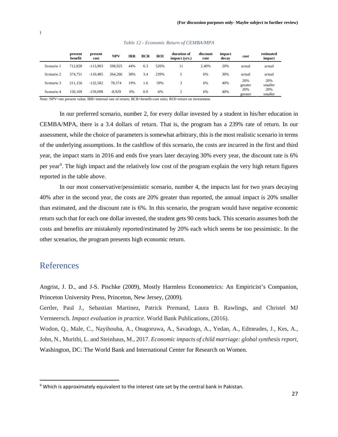<span id="page-26-1"></span>

|            | present<br>benefit | present<br>cost | <b>NPV</b> | IRR | <b>BCR</b> | <b>ROI</b> | duration of<br>impact (yrs.) | discount<br>rate | impact<br>decay | cost           | estimated<br>impact |
|------------|--------------------|-----------------|------------|-----|------------|------------|------------------------------|------------------|-----------------|----------------|---------------------|
| Scenario 1 | 712,828            | $-113.903$      | 598.925    | 44% | 6.3        | 526%       |                              | 2.40%            | 20%             | actual         | actual              |
| Scenario 2 | 374.751            | $-110.485$      | 264,266    | 38% | 3.4        | 239%       |                              | 6%               | 30%             | actual         | actual              |
| Scenario 3 | 211.156            | $-132.582$      | 78.574     | 19% | 1.6        | 59%        |                              | 6%               | 40%             | 20%<br>greater | 20%<br>smaller      |
| Scenario 4 | 150.169            | $-159.098$      | $-8.929$   | 6%  | 0.9        | $-6%$      |                              | 6%               | 40%             | 20%<br>greater | 20%<br>smaller      |

#### *Table 12 - Economic Return of CEMBA/MPA*

Note: NPV=net present value; IRR=internal rate of return; BCR=benefit-cost ratio; ROI=return on investment.

In our preferred scenario, number 2, for every dollar invested by a student in his/her education in CEMBA/MPA, there is a 3.4 dollars of return. That is, the program has a 239% rate of return. In our assessment, while the choice of parameters is somewhat arbitrary, this is the most realistic scenario in terms of the underlying assumptions. In the cashflow of this scenario, the costs are incurred in the first and third year, the impact starts in 2016 and ends five years later decaying 30% every year, the discount rate is 6% per year<sup>[9](#page-26-2)</sup>. The high impact and the relatively low cost of the program explain the very high return figures reported in the table above.

In our most conservative/pessimistic scenario, number 4, the impacts last for two years decaying 40% after in the second year, the costs are 20% greater than reported, the annual impact is 20% smaller than estimated, and the discount rate is 6%. In this scenario, the program would have negative economic return such that for each one dollar invested, the student gets 90 cents back. This scenario assumes both the costs and benefits are mistakenly reported/estimated by 20% each which seems be too pessimistic. In the other scenarios, the program presents high economic return.

## <span id="page-26-0"></span>References

Angrist, J. D., and J-S. Pischke (2009), Mostly Harmless Econometrics: An Empiricist's Companion, Princeton University Press, Princeton, New Jersey, (2009).

Gertler, Paul J., Sebastian Martinez, Patrick Premand, Laura B. Rawlings, and Christel MJ Vermeersch. *Impact evaluation in practice*. World Bank Publications, (2016).

Wodon, Q., Male, C., Nayihouba, A., Onagoruwa, A., Savadogo, A., Yedan, A., Edmeades, J., Kes, A., John, N., Murithi, L. and Steinhaus, M., 2017. *Economic impacts of child marriage: global synthesis report*, Washington, DC: The World Bank and International Center for Research on Women.

<span id="page-26-2"></span><sup>&</sup>lt;sup>9</sup> Which is approximately equivalent to the interest rate set by the central bank in Pakistan.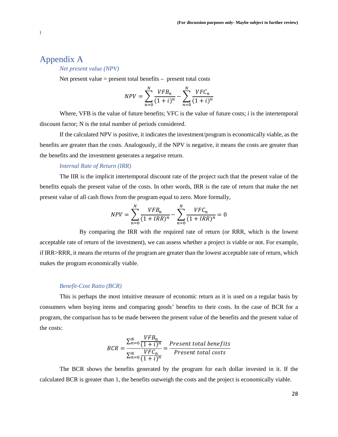## <span id="page-27-0"></span>Appendix A

*Net present value (NPV)*

Net present value  $=$  present total benefits  $-$  present total costs

$$
NPV = \sum_{n=0}^{N} \frac{VFB_n}{(1+i)^n} - \sum_{n=0}^{N} \frac{VFC_n}{(1+i)^n}
$$

Where, VFB is the value of future benefits; VFC is the value of future costs; *i* is the intertemporal discount factor; N is the total number of periods considered.

If the calculated NPV is positive, it indicates the investment/program is economically viable, as the benefits are greater than the costs. Analogously, if the NPV is negative, it means the costs are greater than the benefits and the investment generates a negative return.

#### *Internal Rate of Return (IRR)*

The IIR is the implicit intertemporal discount rate of the project such that the present value of the benefits equals the present value of the costs. In other words, IRR is the rate of return that make the net present value of all cash flows from the program equal to zero. More formally,

$$
NPV = \sum_{n=0}^{N} \frac{VFB_n}{(1 + IRR)^n} - \sum_{n=0}^{N} \frac{VFC_n}{(1 + IRR)^n} = 0
$$

By comparing the IRR with the required rate of return (or RRR, which is the lowest acceptable rate of return of the investment), we can assess whether a project is viable or not. For example, if IRR>RRR, it means the returns of the program are greater than the lowest acceptable rate of return, which makes the program economically viable.

#### *Benefit-Cost Ratio (BCR)*

This is perhaps the most intuitive measure of economic return as it is used on a regular basis by consumers when buying items and comparing goods' benefits to their costs. In the case of BCR for a program, the comparison has to be made between the present value of the benefits and the present value of the costs:

$$
BCR = \frac{\sum_{n=0}^{N} \frac{VFB_n}{(1+i)^n}}{\sum_{n=0}^{N} \frac{VFC_n}{(1+i)^n}} = \frac{Present\ total\ benefits}{Present\ total\ costs}
$$

The BCR shows the benefits generated by the program for each dollar invested in it. If the calculated BCR is greater than 1, the benefits outweigh the costs and the project is economically viable.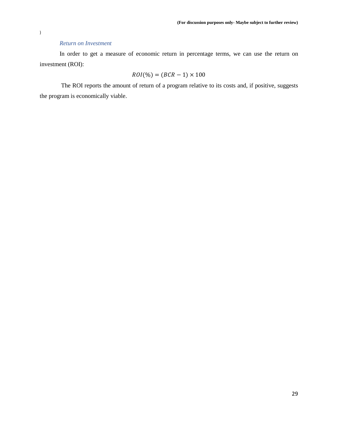#### *Return on Investment*

In order to get a measure of economic return in percentage terms, we can use the return on investment (ROI):

$$
ROI(\%) = (BCR - 1) \times 100
$$

The ROI reports the amount of return of a program relative to its costs and, if positive, suggests the program is economically viable.